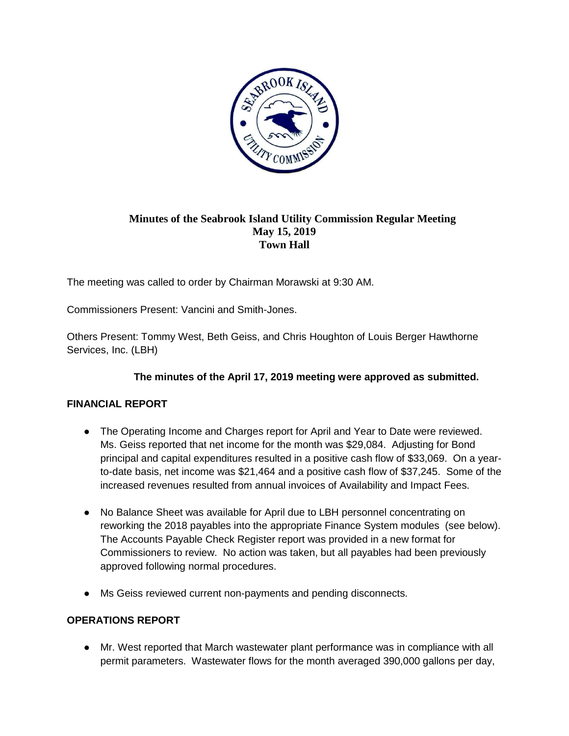

## **Minutes of the Seabrook Island Utility Commission Regular Meeting May 15, 2019 Town Hall**

The meeting was called to order by Chairman Morawski at 9:30 AM.

Commissioners Present: Vancini and Smith-Jones.

Others Present: Tommy West, Beth Geiss, and Chris Houghton of Louis Berger Hawthorne Services, Inc. (LBH)

## **The minutes of the April 17, 2019 meeting were approved as submitted.**

## **FINANCIAL REPORT**

- The Operating Income and Charges report for April and Year to Date were reviewed. Ms. Geiss reported that net income for the month was \$29,084. Adjusting for Bond principal and capital expenditures resulted in a positive cash flow of \$33,069. On a yearto-date basis, net income was \$21,464 and a positive cash flow of \$37,245. Some of the increased revenues resulted from annual invoices of Availability and Impact Fees.
- No Balance Sheet was available for April due to LBH personnel concentrating on reworking the 2018 payables into the appropriate Finance System modules (see below). The Accounts Payable Check Register report was provided in a new format for Commissioners to review. No action was taken, but all payables had been previously approved following normal procedures.
- Ms Geiss reviewed current non-payments and pending disconnects.

## **OPERATIONS REPORT**

● Mr. West reported that March wastewater plant performance was in compliance with all permit parameters. Wastewater flows for the month averaged 390,000 gallons per day,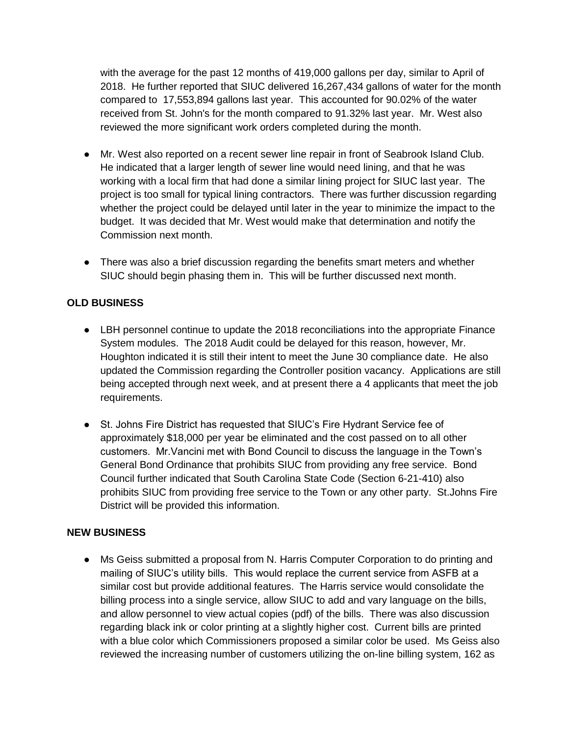with the average for the past 12 months of 419,000 gallons per day, similar to April of 2018. He further reported that SIUC delivered 16,267,434 gallons of water for the month compared to 17,553,894 gallons last year. This accounted for 90.02% of the water received from St. John's for the month compared to 91.32% last year. Mr. West also reviewed the more significant work orders completed during the month.

- Mr. West also reported on a recent sewer line repair in front of Seabrook Island Club. He indicated that a larger length of sewer line would need lining, and that he was working with a local firm that had done a similar lining project for SIUC last year. The project is too small for typical lining contractors. There was further discussion regarding whether the project could be delayed until later in the year to minimize the impact to the budget. It was decided that Mr. West would make that determination and notify the Commission next month.
- There was also a brief discussion regarding the benefits smart meters and whether SIUC should begin phasing them in. This will be further discussed next month.

### **OLD BUSINESS**

- LBH personnel continue to update the 2018 reconciliations into the appropriate Finance System modules. The 2018 Audit could be delayed for this reason, however, Mr. Houghton indicated it is still their intent to meet the June 30 compliance date. He also updated the Commission regarding the Controller position vacancy. Applications are still being accepted through next week, and at present there a 4 applicants that meet the job requirements.
- St. Johns Fire District has requested that SIUC's Fire Hydrant Service fee of approximately \$18,000 per year be eliminated and the cost passed on to all other customers. Mr.Vancini met with Bond Council to discuss the language in the Town's General Bond Ordinance that prohibits SIUC from providing any free service. Bond Council further indicated that South Carolina State Code (Section 6-21-410) also prohibits SIUC from providing free service to the Town or any other party. St.Johns Fire District will be provided this information.

#### **NEW BUSINESS**

• Ms Geiss submitted a proposal from N. Harris Computer Corporation to do printing and mailing of SIUC's utility bills. This would replace the current service from ASFB at a similar cost but provide additional features. The Harris service would consolidate the billing process into a single service, allow SIUC to add and vary language on the bills, and allow personnel to view actual copies (pdf) of the bills. There was also discussion regarding black ink or color printing at a slightly higher cost. Current bills are printed with a blue color which Commissioners proposed a similar color be used. Ms Geiss also reviewed the increasing number of customers utilizing the on-line billing system, 162 as